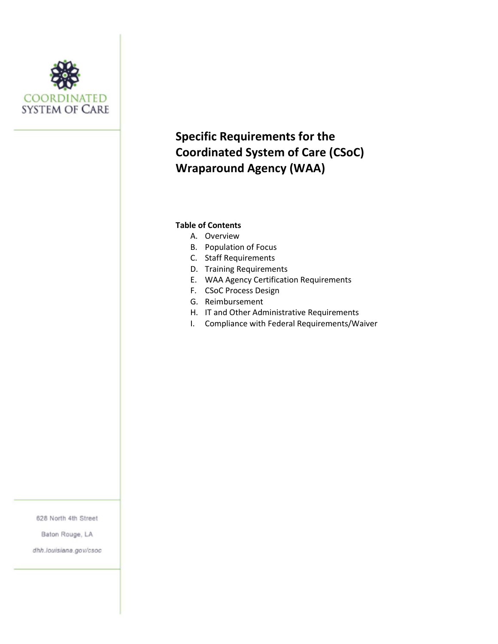

# **Specific Requirements for the Coordinated System of Care (CSoC) Wraparound Agency (WAA)**

#### **Table of Contents**

- A. Overview
- B. Population of Focus
- C. Staff Requirements
- D. Training Requirements
- E. WAA Agency Certification Requirements
- F. CSoC Process Design
- G. Reimbursement
- H. IT and Other Administrative Requirements
- I. Compliance with Federal Requirements/Waiver

628 North 4th Street

Baton Rouge, LA

dhh.louisiana.gov/csoc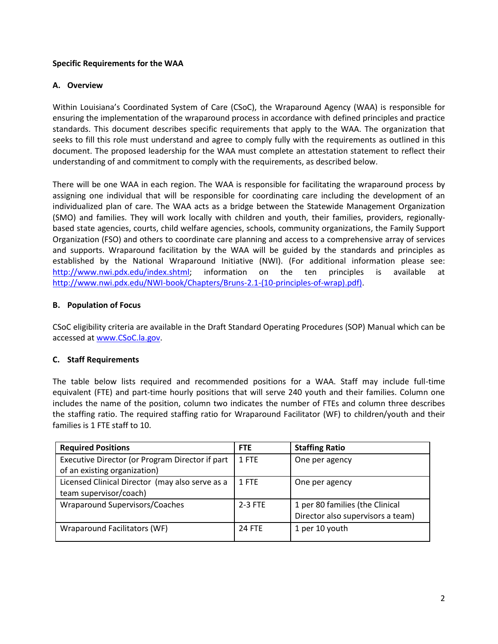## **Specific Requirements for the WAA**

## **A. Overview**

Within Louisiana's Coordinated System of Care (CSoC), the Wraparound Agency (WAA) is responsible for ensuring the implementation of the wraparound process in accordance with defined principles and practice standards. This document describes specific requirements that apply to the WAA. The organization that seeks to fill this role must understand and agree to comply fully with the requirements as outlined in this document. The proposed leadership for the WAA must complete an attestation statement to reflect their understanding of and commitment to comply with the requirements, as described below.

There will be one WAA in each region. The WAA is responsible for facilitating the wraparound process by assigning one individual that will be responsible for coordinating care including the development of an individualized plan of care. The WAA acts as a bridge between the Statewide Management Organization (SMO) and families. They will work locally with children and youth, their families, providers, regionallybased state agencies, courts, child welfare agencies, schools, community organizations, the Family Support Organization (FSO) and others to coordinate care planning and access to a comprehensive array of services and supports. Wraparound facilitation by the WAA will be guided by the standards and principles as established by the National Wraparound Initiative (NWI). (For additional information please see: [http://www.nwi.pdx.edu/index.shtml;](http://www.nwi.pdx.edu/index.shtml) information on the ten principles is available at [http://www.nwi.pdx.edu/NWI-book/Chapters/Bruns-2.1-\(10-principles-of-wrap\).pdf\).](http://www.nwi.pdx.edu/NWI-book/Chapters/Bruns-2.1-(10-principles-of-wrap).pdf))

## **B. Population of Focus**

CSoC eligibility criteria are available in the Draft Standard Operating Procedures (SOP) Manual which can be accessed a[t www.CSoC.la.gov.](http://www.csoc.la.gov/)

# **C. Staff Requirements**

The table below lists required and recommended positions for a WAA. Staff may include full-time equivalent (FTE) and part-time hourly positions that will serve 240 youth and their families. Column one includes the name of the position, column two indicates the number of FTEs and column three describes the staffing ratio. The required staffing ratio for Wraparound Facilitator (WF) to children/youth and their families is 1 FTE staff to 10.

| <b>Required Positions</b>                       | <b>FTE</b>    | <b>Staffing Ratio</b>             |
|-------------------------------------------------|---------------|-----------------------------------|
| Executive Director (or Program Director if part | 1 FTE         | One per agency                    |
| of an existing organization)                    |               |                                   |
| Licensed Clinical Director (may also serve as a | 1 FTF         | One per agency                    |
| team supervisor/coach)                          |               |                                   |
| Wraparound Supervisors/Coaches                  | $2-3$ FTE     | 1 per 80 families (the Clinical   |
|                                                 |               | Director also supervisors a team) |
| Wraparound Facilitators (WF)                    | <b>24 FTF</b> | 1 per 10 youth                    |
|                                                 |               |                                   |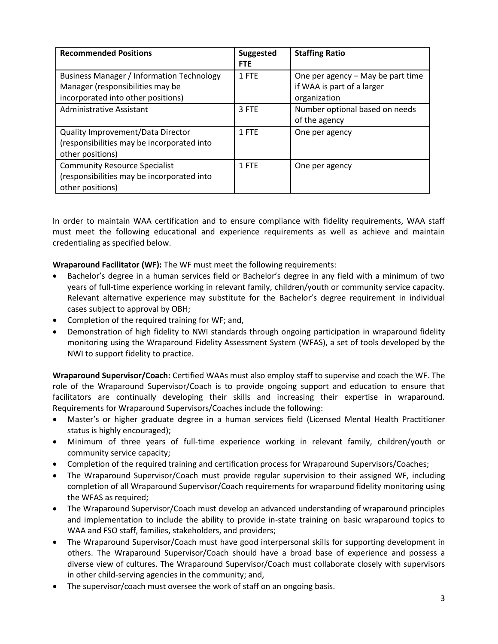| <b>Recommended Positions</b>                                                                                               | <b>Suggested</b><br><b>FTE</b> | <b>Staffing Ratio</b>                                                           |
|----------------------------------------------------------------------------------------------------------------------------|--------------------------------|---------------------------------------------------------------------------------|
| <b>Business Manager / Information Technology</b><br>Manager (responsibilities may be<br>incorporated into other positions) | 1 FTF                          | One per agency - May be part time<br>if WAA is part of a larger<br>organization |
| Administrative Assistant                                                                                                   | 3 FTE                          | Number optional based on needs<br>of the agency                                 |
| Quality Improvement/Data Director<br>(responsibilities may be incorporated into<br>other positions)                        | 1 FTE                          | One per agency                                                                  |
| <b>Community Resource Specialist</b><br>(responsibilities may be incorporated into<br>other positions)                     | 1 FTE                          | One per agency                                                                  |

In order to maintain WAA certification and to ensure compliance with fidelity requirements, WAA staff must meet the following educational and experience requirements as well as achieve and maintain credentialing as specified below.

**Wraparound Facilitator (WF):** The WF must meet the following requirements:

- Bachelor's degree in a human services field or Bachelor's degree in any field with a minimum of two years of full-time experience working in relevant family, children/youth or community service capacity. Relevant alternative experience may substitute for the Bachelor's degree requirement in individual cases subject to approval by OBH;
- Completion of the required training for WF; and,
- Demonstration of high fidelity to NWI standards through ongoing participation in wraparound fidelity monitoring using the Wraparound Fidelity Assessment System (WFAS), a set of tools developed by the NWI to support fidelity to practice.

**Wraparound Supervisor/Coach:** Certified WAAs must also employ staff to supervise and coach the WF. The role of the Wraparound Supervisor/Coach is to provide ongoing support and education to ensure that facilitators are continually developing their skills and increasing their expertise in wraparound. Requirements for Wraparound Supervisors/Coaches include the following:

- Master's or higher graduate degree in a human services field (Licensed Mental Health Practitioner status is highly encouraged);
- Minimum of three years of full-time experience working in relevant family, children/youth or community service capacity;
- Completion of the required training and certification process for Wraparound Supervisors/Coaches;
- The Wraparound Supervisor/Coach must provide regular supervision to their assigned WF, including completion of all Wraparound Supervisor/Coach requirements for wraparound fidelity monitoring using the WFAS as required;
- The Wraparound Supervisor/Coach must develop an advanced understanding of wraparound principles and implementation to include the ability to provide in-state training on basic wraparound topics to WAA and FSO staff, families, stakeholders, and providers;
- The Wraparound Supervisor/Coach must have good interpersonal skills for supporting development in others. The Wraparound Supervisor/Coach should have a broad base of experience and possess a diverse view of cultures. The Wraparound Supervisor/Coach must collaborate closely with supervisors in other child-serving agencies in the community; and,
- The supervisor/coach must oversee the work of staff on an ongoing basis.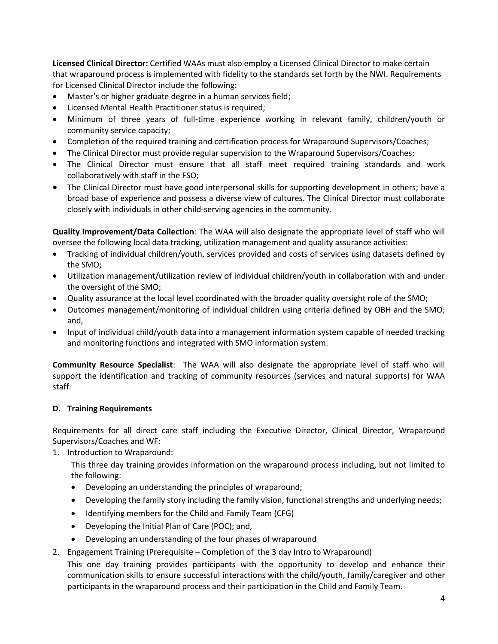**Licensed Clinical Director:** Certified WAAs must also employ a Licensed Clinical Director to make certain that wraparound process is implemented with fidelity to the standards set forth by the NWI. Requirements for Licensed Clinical Director include the following:

- Master's or higher graduate degree in a human services field;
- Licensed Mental Health Practitioner status is required;
- Minimum of three years of full-time experience working in relevant family, children/youth or community service capacity;
- Completion of the required training and certification process for Wraparound Supervisors/Coaches;
- The Clinical Director must provide regular supervision to the Wraparound Supervisors/Coaches;
- The Clinical Director must ensure that all staff meet required training standards and work collaboratively with staff in the FSO;
- The Clinical Director must have good interpersonal skills for supporting development in others; have a broad base of experience and possess a diverse view of cultures. The Clinical Director must collaborate closely with individuals in other child-serving agencies in the community.

**Quality Improvement/Data Collection**: The WAA will also designate the appropriate level of staff who will oversee the following local data tracking, utilization management and quality assurance activities:

- Tracking of individual children/youth, services provided and costs of services using datasets defined by the SMO;
- Utilization management/utilization review of individual children/youth in collaboration with and under the oversight of the SMO;
- Quality assurance at the local level coordinated with the broader quality oversight role of the SMO;
- Outcomes management/monitoring of individual children using criteria defined by OBH and the SMO; and,
- Input of individual child/youth data into a management information system capable of needed tracking and monitoring functions and integrated with SMO information system.

**Community Resource Specialist**: The WAA will also designate the appropriate level of staff who will support the identification and tracking of community resources (services and natural supports) for WAA staff.

# **D. Training Requirements**

Requirements for all direct care staff including the Executive Director, Clinical Director, Wraparound Supervisors/Coaches and WF:

1. Introduction to Wraparound:

This three day training provides information on the wraparound process including, but not limited to the following:

- Developing an understanding the principles of wraparound;
- Developing the family story including the family vision, functional strengths and underlying needs;
- Identifying members for the Child and Family Team (CFG)
- Developing the Initial Plan of Care (POC); and,
- Developing an understanding of the four phases of wraparound
- 2. Engagement Training (Prerequisite Completion of the 3 day Intro to Wraparound)

This one day training provides participants with the opportunity to develop and enhance their communication skills to ensure successful interactions with the child/youth, family/caregiver and other participants in the wraparound process and their participation in the Child and Family Team.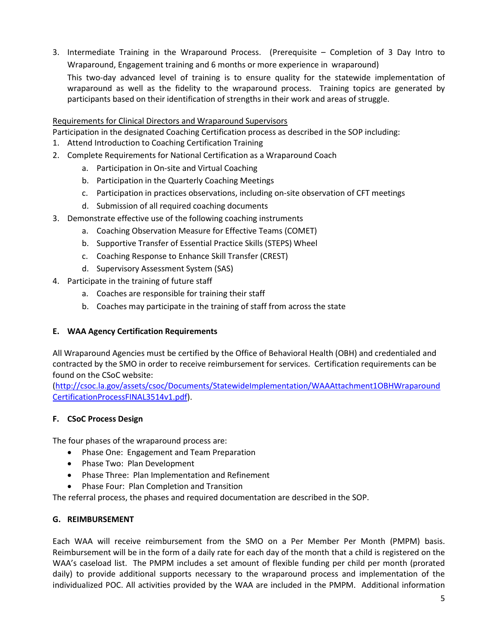3. Intermediate Training in the Wraparound Process. (Prerequisite – Completion of 3 Day Intro to Wraparound, Engagement training and 6 months or more experience in wraparound)

This two-day advanced level of training is to ensure quality for the statewide implementation of wraparound as well as the fidelity to the wraparound process. Training topics are generated by participants based on their identification of strengths in their work and areas of struggle.

## Requirements for Clinical Directors and Wraparound Supervisors

Participation in the designated Coaching Certification process as described in the SOP including:

- 1. Attend Introduction to Coaching Certification Training
- 2. Complete Requirements for National Certification as a Wraparound Coach
	- a. Participation in On-site and Virtual Coaching
	- b. Participation in the Quarterly Coaching Meetings
	- c. Participation in practices observations, including on-site observation of CFT meetings
	- d. Submission of all required coaching documents
- 3. Demonstrate effective use of the following coaching instruments
	- a. Coaching Observation Measure for Effective Teams (COMET)
	- b. Supportive Transfer of Essential Practice Skills (STEPS) Wheel
	- c. Coaching Response to Enhance Skill Transfer (CREST)
	- d. Supervisory Assessment System (SAS)
- 4. Participate in the training of future staff
	- a. Coaches are responsible for training their staff
	- b. Coaches may participate in the training of staff from across the state

#### **E. WAA Agency Certification Requirements**

All Wraparound Agencies must be certified by the Office of Behavioral Health (OBH) and credentialed and contracted by the SMO in order to receive reimbursement for services. Certification requirements can be found on the CSoC website:

[\(http://csoc.la.gov/assets/csoc/Documents/StatewideImplementation/WAAAttachment1OBHWraparound](http://csoc.la.gov/assets/csoc/Documents/StatewideImplementation/WAAAttachment1OBHWraparoundCertificationProcessFINAL3514v1.pdf) [CertificationProcessFINAL3514v1.pdf\)](http://csoc.la.gov/assets/csoc/Documents/StatewideImplementation/WAAAttachment1OBHWraparoundCertificationProcessFINAL3514v1.pdf).

#### **F. CSoC Process Design**

The four phases of the wraparound process are:

- Phase One: Engagement and Team Preparation
- Phase Two: Plan Development
- Phase Three: Plan Implementation and Refinement
- Phase Four: Plan Completion and Transition

The referral process, the phases and required documentation are described in the SOP.

#### **G. REIMBURSEMENT**

Each WAA will receive reimbursement from the SMO on a Per Member Per Month (PMPM) basis. Reimbursement will be in the form of a daily rate for each day of the month that a child is registered on the WAA's caseload list. The PMPM includes a set amount of flexible funding per child per month (prorated daily) to provide additional supports necessary to the wraparound process and implementation of the individualized POC. All activities provided by the WAA are included in the PMPM. Additional information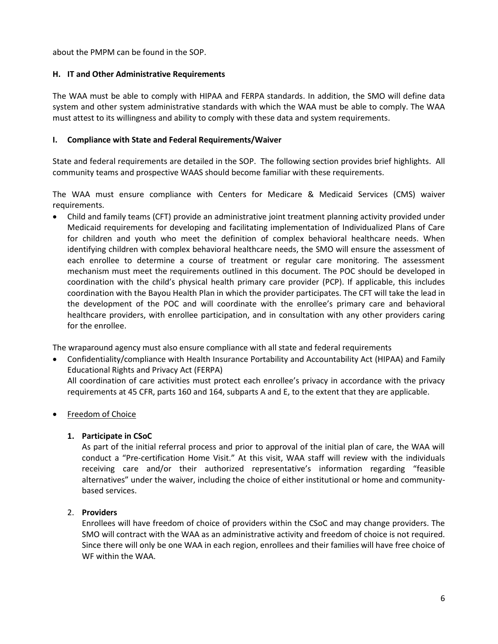about the PMPM can be found in the SOP.

#### **H. IT and Other Administrative Requirements**

The WAA must be able to comply with HIPAA and FERPA standards. In addition, the SMO will define data system and other system administrative standards with which the WAA must be able to comply. The WAA must attest to its willingness and ability to comply with these data and system requirements.

#### **I. Compliance with State and Federal Requirements/Waiver**

State and federal requirements are detailed in the SOP. The following section provides brief highlights. All community teams and prospective WAAS should become familiar with these requirements.

The WAA must ensure compliance with Centers for Medicare & Medicaid Services (CMS) waiver requirements.

 Child and family teams (CFT) provide an administrative joint treatment planning activity provided under Medicaid requirements for developing and facilitating implementation of Individualized Plans of Care for children and youth who meet the definition of complex behavioral healthcare needs. When identifying children with complex behavioral healthcare needs, the SMO will ensure the assessment of each enrollee to determine a course of treatment or regular care monitoring. The assessment mechanism must meet the requirements outlined in this document. The POC should be developed in coordination with the child's physical health primary care provider (PCP). If applicable, this includes coordination with the Bayou Health Plan in which the provider participates. The CFT will take the lead in the development of the POC and will coordinate with the enrollee's primary care and behavioral healthcare providers, with enrollee participation, and in consultation with any other providers caring for the enrollee.

The wraparound agency must also ensure compliance with all state and federal requirements

 Confidentiality/compliance with Health Insurance Portability and Accountability Act (HIPAA) and Family Educational Rights and Privacy Act (FERPA) All coordination of care activities must protect each enrollee's privacy in accordance with the privacy

requirements at 45 CFR, parts 160 and 164, subparts A and E, to the extent that they are applicable.

Freedom of Choice

#### **1. Participate in CSoC**

As part of the initial referral process and prior to approval of the initial plan of care, the WAA will conduct a "Pre-certification Home Visit." At this visit, WAA staff will review with the individuals receiving care and/or their authorized representative's information regarding "feasible alternatives" under the waiver, including the choice of either institutional or home and communitybased services.

#### 2. **Providers**

Enrollees will have freedom of choice of providers within the CSoC and may change providers. The SMO will contract with the WAA as an administrative activity and freedom of choice is not required. Since there will only be one WAA in each region, enrollees and their families will have free choice of WF within the WAA.